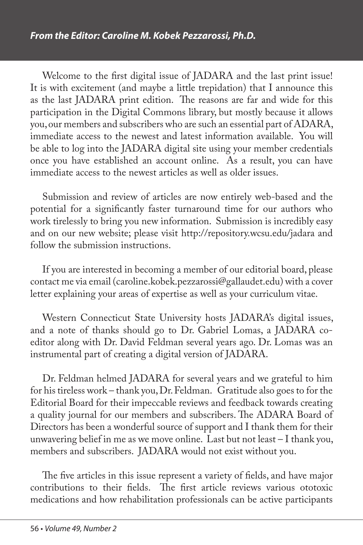Welcome to the first digital issue of JADARA and the last print issue! It is with excitement (and maybe a little trepidation) that I announce this as the last JADARA print edition. The reasons are far and wide for this participation in the Digital Commons library, but mostly because it allows you, our members and subscribers who are such an essential part of ADARA, immediate access to the newest and latest information available. You will be able to log into the JADARA digital site using your member credentials once you have established an account online. As a result, you can have immediate access to the newest articles as well as older issues.

Submission and review of articles are now entirely web-based and the potential for a significantly faster turnaround time for our authors who work tirelessly to bring you new information. Submission is incredibly easy and on our new website; please visit http://repository.wcsu.edu/jadara and follow the submission instructions.

If you are interested in becoming a member of our editorial board, please contact me via email (caroline.kobek.pezzarossi@gallaudet.edu) with a cover letter explaining your areas of expertise as well as your curriculum vitae.

Western Connecticut State University hosts JADARA's digital issues, and a note of thanks should go to Dr. Gabriel Lomas, a JADARA coeditor along with Dr. David Feldman several years ago. Dr. Lomas was an instrumental part of creating a digital version of JADARA.

Dr. Feldman helmed JADARA for several years and we grateful to him for his tireless work – thank you, Dr. Feldman. Gratitude also goes to for the Editorial Board for their impeccable reviews and feedback towards creating a quality journal for our members and subscribers. The ADARA Board of Directors has been a wonderful source of support and I thank them for their unwavering belief in me as we move online. Last but not least – I thank you, members and subscribers. JADARA would not exist without you.

The five articles in this issue represent a variety of fields, and have major contributions to their fields. The first article reviews various ototoxic medications and how rehabilitation professionals can be active participants